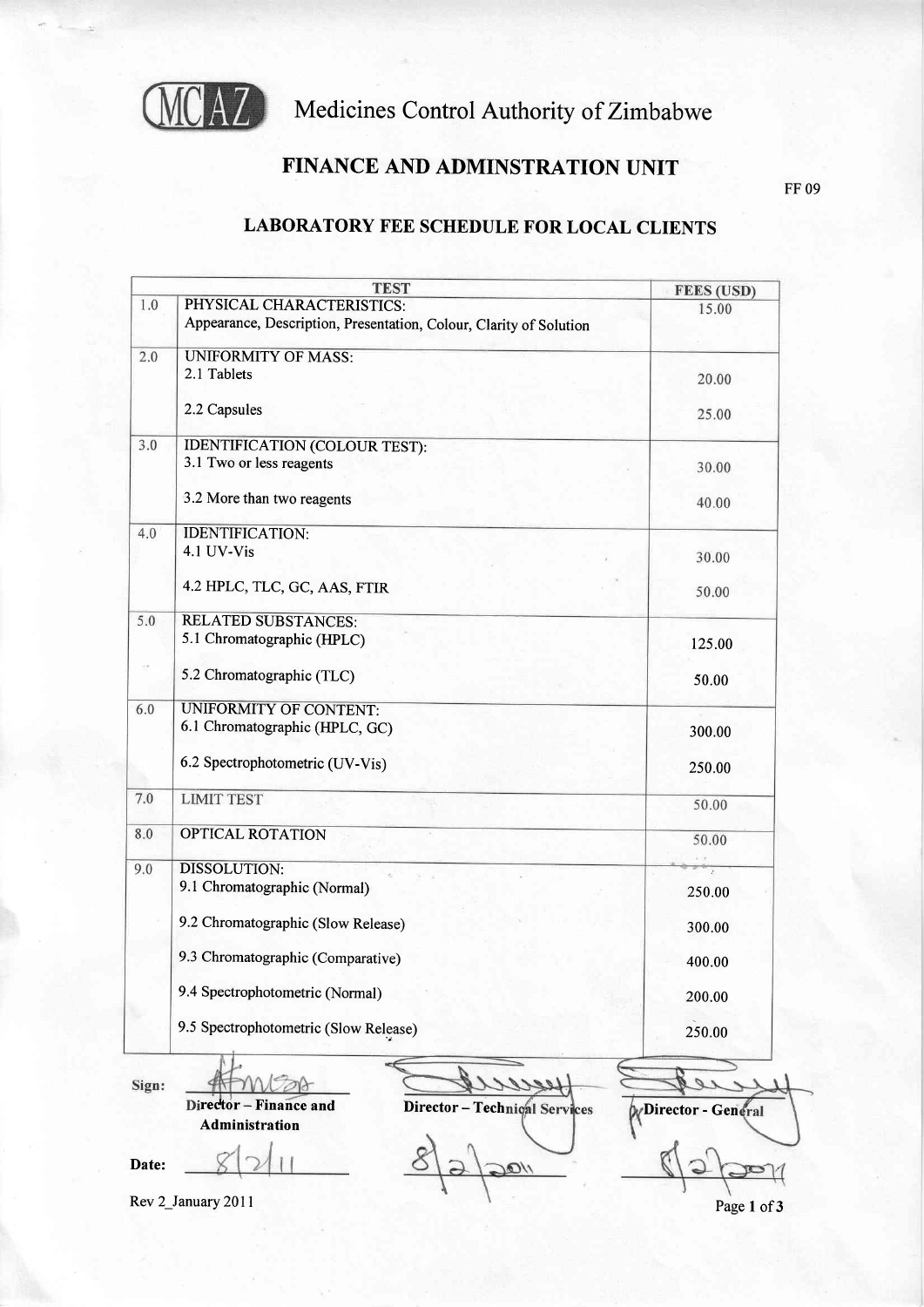

## Medicines Control Authority of Zimbabwe

## FINANCE AND ADMINSTRATION UNIT

FF 09

## LABORATORY FEE SCHEDULE FOR LOCAL CLIENTS

|       | <b>TEST</b>                                                                                     | <b>FEES (USD)</b>    |
|-------|-------------------------------------------------------------------------------------------------|----------------------|
| 1.0   | PHYSICAL CHARACTERISTICS:<br>Appearance, Description, Presentation, Colour, Clarity of Solution | 15.00                |
| 2.0   | <b>UNIFORMITY OF MASS:</b>                                                                      |                      |
|       | 2.1 Tablets                                                                                     | 20.00                |
|       | 2.2 Capsules                                                                                    | 25.00                |
| 3.0   | <b>IDENTIFICATION (COLOUR TEST):</b>                                                            |                      |
|       | 3.1 Two or less reagents                                                                        | 30.00                |
|       | 3.2 More than two reagents                                                                      | 40.00                |
| 4.0   | <b>IDENTIFICATION:</b>                                                                          |                      |
|       | 4.1 UV-Vis                                                                                      | 30.00                |
|       | 4.2 HPLC, TLC, GC, AAS, FTIR                                                                    | 50.00                |
| 5.0   | <b>RELATED SUBSTANCES:</b>                                                                      |                      |
|       | 5.1 Chromatographic (HPLC)                                                                      | 125.00               |
|       | 5.2 Chromatographic (TLC)                                                                       | 50.00                |
| 6.0   | UNIFORMITY OF CONTENT:                                                                          |                      |
|       | 6.1 Chromatographic (HPLC, GC)                                                                  | 300.00               |
|       | 6.2 Spectrophotometric (UV-Vis)                                                                 | 250.00               |
| 7.0   | <b>LIMIT TEST</b>                                                                               | 50.00                |
| 8.0   | <b>OPTICAL ROTATION</b>                                                                         | 50.00                |
|       |                                                                                                 |                      |
| 9.0   | <b>DISSOLUTION:</b><br>9.1 Chromatographic (Normal)                                             | $\bar{z}$<br>250.00  |
|       |                                                                                                 |                      |
|       | 9.2 Chromatographic (Slow Release)                                                              | 300.00               |
|       | 9.3 Chromatographic (Comparative)                                                               | 400.00               |
|       | 9.4 Spectrophotometric (Normal)                                                                 | 200.00               |
|       | 9.5 Spectrophotometric (Slow Release)                                                           | 250.00               |
|       |                                                                                                 |                      |
| Sign: | Director - Finance and<br>Director - Technical Services                                         |                      |
|       | Administration                                                                                  | W Director - General |
|       |                                                                                                 |                      |
| Date: |                                                                                                 |                      |

Rev 2\_Ianuary 20ll

Page 1 of 3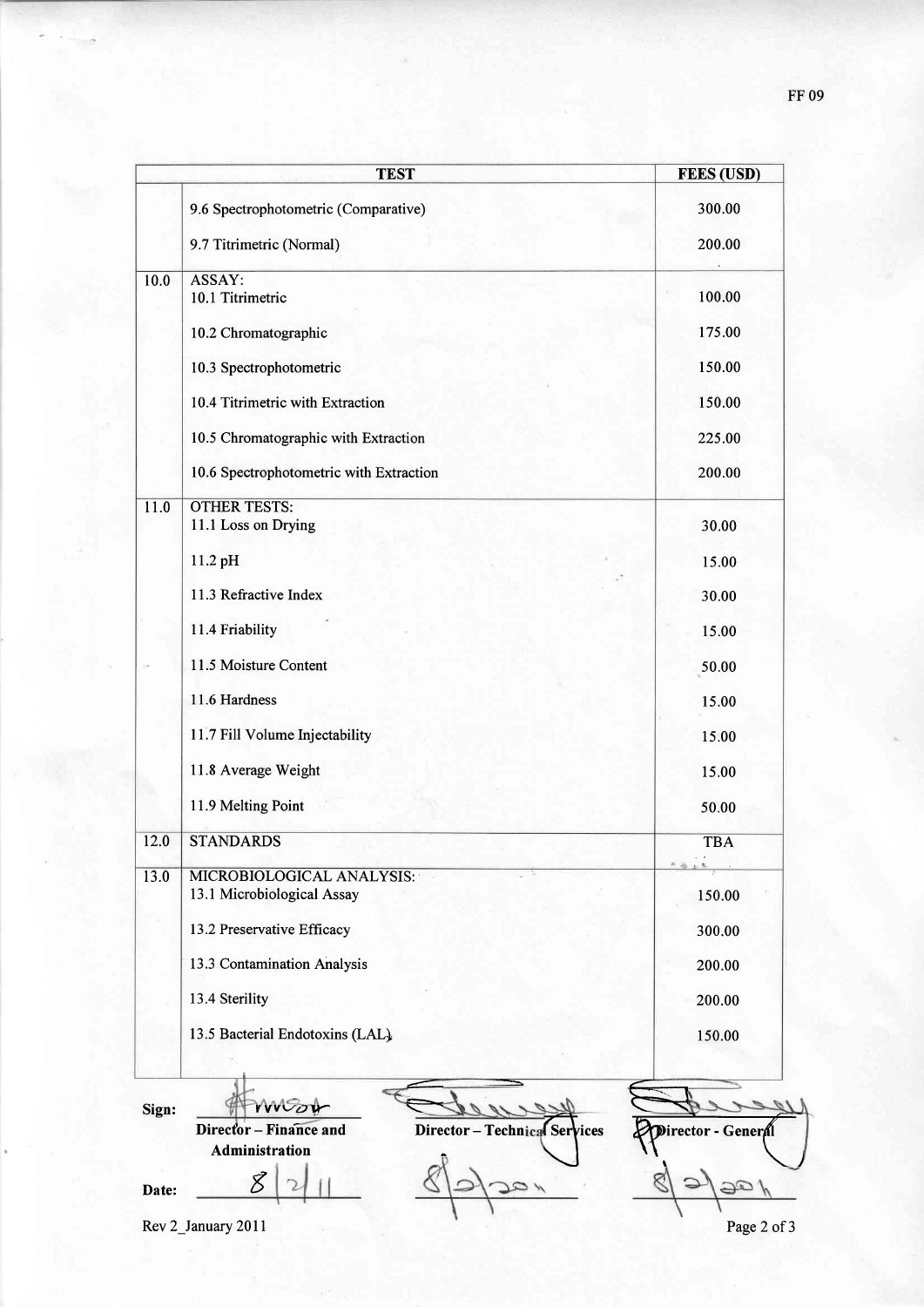|       | <b>TEST</b>                                                            | <b>FEES (USD)</b> |
|-------|------------------------------------------------------------------------|-------------------|
|       | 9.6 Spectrophotometric (Comparative)                                   | 300.00            |
|       | 9.7 Titrimetric (Normal)                                               | 200.00            |
|       |                                                                        |                   |
| 10.0  | ASSAY:<br>10.1 Titrimetric                                             | 100.00            |
|       |                                                                        |                   |
|       | 10.2 Chromatographic                                                   | 175.00            |
|       | 10.3 Spectrophotometric                                                | 150.00            |
|       | 10.4 Titrimetric with Extraction                                       | 150.00            |
|       | 10.5 Chromatographic with Extraction                                   | 225.00            |
|       | 10.6 Spectrophotometric with Extraction                                | 200.00            |
| 11.0  | <b>OTHER TESTS:</b>                                                    |                   |
|       | 11.1 Loss on Drying                                                    | 30.00             |
|       | 11.2 pH                                                                | 15.00             |
|       | 11.3 Refractive Index                                                  | 30.00             |
|       | 11.4 Friability                                                        | 15.00             |
|       | 11.5 Moisture Content                                                  | 50.00             |
|       | 11.6 Hardness                                                          | 15.00             |
|       | 11.7 Fill Volume Injectability                                         | 15.00             |
|       | 11.8 Average Weight                                                    | 15.00             |
|       | 11.9 Melting Point                                                     | 50.00             |
| 12.0  | <b>STANDARDS</b>                                                       | <b>TBA</b>        |
| 13.0  | MICROBIOLOGICAL ANALYSIS:                                              |                   |
|       | 13.1 Microbiological Assay                                             | 150.00            |
|       | 13.2 Preservative Efficacy                                             | 300.00            |
|       | 13.3 Contamination Analysis                                            | 200.00            |
|       | 13.4 Sterility                                                         | 200.00            |
|       | 13.5 Bacterial Endotoxins (LAL).                                       | 150.00            |
|       |                                                                        |                   |
| Sign: |                                                                        |                   |
|       | WOOV<br>Director - Finance and<br><b>Director - Technical Services</b> |                   |

Date:  $82$ January 2011<br>Rev 2\_January 2011

 $\overline{c}$ 

Date:  $\frac{\cancel{8}}{2}$